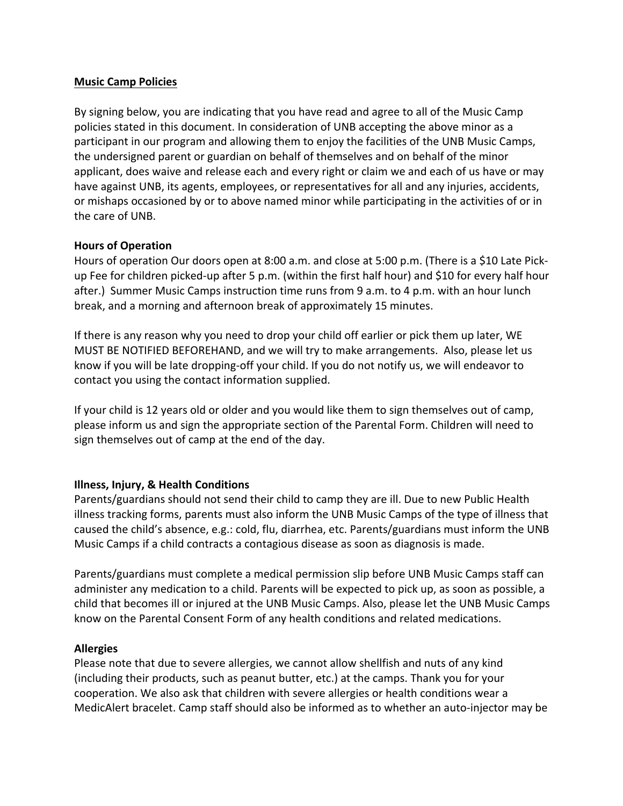# **Music Camp Policies**

By signing below, you are indicating that you have read and agree to all of the Music Camp policies stated in this document. In consideration of UNB accepting the above minor as a participant in our program and allowing them to enjoy the facilities of the UNB Music Camps, the undersigned parent or guardian on behalf of themselves and on behalf of the minor applicant, does waive and release each and every right or claim we and each of us have or may have against UNB, its agents, employees, or representatives for all and any injuries, accidents, or mishaps occasioned by or to above named minor while participating in the activities of or in the care of UNB.

# **Hours of Operation**

Hours of operation Our doors open at 8:00 a.m. and close at 5:00 p.m. (There is a \$10 Late Pickup Fee for children picked-up after 5 p.m. (within the first half hour) and \$10 for every half hour after.) Summer Music Camps instruction time runs from 9 a.m. to 4 p.m. with an hour lunch break, and a morning and afternoon break of approximately 15 minutes.

If there is any reason why you need to drop your child off earlier or pick them up later, WE MUST BE NOTIFIED BEFOREHAND, and we will try to make arrangements. Also, please let us know if you will be late dropping-off your child. If you do not notify us, we will endeavor to contact you using the contact information supplied.

If your child is 12 years old or older and you would like them to sign themselves out of camp, please inform us and sign the appropriate section of the Parental Form. Children will need to sign themselves out of camp at the end of the day.

# **Illness, Injury, & Health Conditions**

Parents/guardians should not send their child to camp they are ill. Due to new Public Health illness tracking forms, parents must also inform the UNB Music Camps of the type of illness that caused the child's absence, e.g.: cold, flu, diarrhea, etc. Parents/guardians must inform the UNB Music Camps if a child contracts a contagious disease as soon as diagnosis is made.

Parents/guardians must complete a medical permission slip before UNB Music Camps staff can administer any medication to a child. Parents will be expected to pick up, as soon as possible, a child that becomes ill or injured at the UNB Music Camps. Also, please let the UNB Music Camps know on the Parental Consent Form of any health conditions and related medications.

### **Allergies**

Please note that due to severe allergies, we cannot allow shellfish and nuts of any kind (including their products, such as peanut butter, etc.) at the camps. Thank you for your cooperation. We also ask that children with severe allergies or health conditions wear a MedicAlert bracelet. Camp staff should also be informed as to whether an auto-injector may be